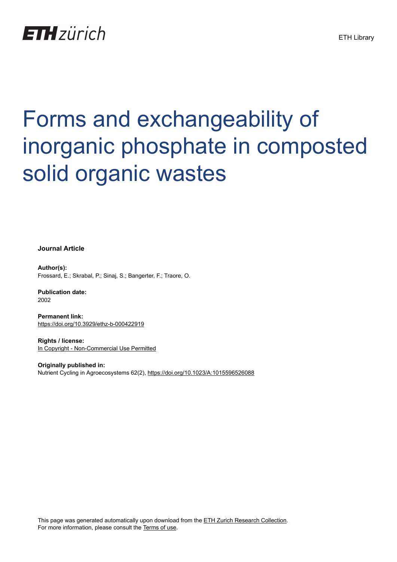# **ETH** zürich

# Forms and exchangeability of inorganic phosphate in composted solid organic wastes

**Journal Article**

**Author(s):** Frossard, E.; Skrabal, P.; Sinaj, S.; Bangerter, F.; Traore, O.

**Publication date:** 2002

**Permanent link:** <https://doi.org/10.3929/ethz-b-000422919>

**Rights / license:** [In Copyright - Non-Commercial Use Permitted](http://rightsstatements.org/page/InC-NC/1.0/)

**Originally published in:** Nutrient Cycling in Agroecosystems 62(2),<https://doi.org/10.1023/A:1015596526088>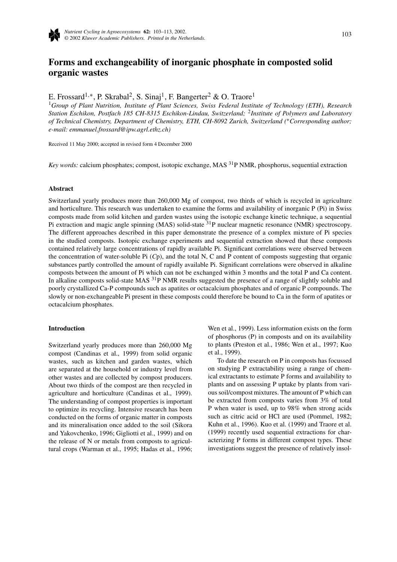

# **Forms and exchangeability of inorganic phosphate in composted solid organic wastes**

E. Frossard<sup>1,∗</sup>, P. Skrabal<sup>2</sup>, S. Sinaj<sup>1</sup>, F. Bangerter<sup>2</sup> & O. Traore<sup>1</sup>

<sup>1</sup>*Group of Plant Nutrition, Institute of Plant Sciences, Swiss Federal Institute of Technology (ETH), Research Station Eschikon, Postfach 185 CH-8315 Eschikon-Lindau, Switzerland;* <sup>2</sup>*Institute of Polymers and Laboratory of Technical Chemistry, Department of Chemistry, ETH, CH-8092 Zurich, Switzerland (*∗*Corresponding author; e-mail: emmanuel.frossard@ipw.agrl.ethz.ch)*

Received 11 May 2000; accepted in revised form 4 December 2000

*Key words:* calcium phosphates; compost, isotopic exchange, MAS <sup>31</sup>P NMR, phosphorus, sequential extraction

#### **Abstract**

Switzerland yearly produces more than 260,000 Mg of compost, two thirds of which is recycled in agriculture and horticulture. This research was undertaken to examine the forms and availability of inorganic P (Pi) in Swiss composts made from solid kitchen and garden wastes using the isotopic exchange kinetic technique, a sequential Pi extraction and magic angle spinning (MAS) solid-state  $31P$  nuclear magnetic resonance (NMR) spectroscopy. The different approaches described in this paper demonstrate the presence of a complex mixture of Pi species in the studied composts. Isotopic exchange experiments and sequential extraction showed that these composts contained relatively large concentrations of rapidly available Pi. Significant correlations were observed between the concentration of water-soluble Pi (*C*p), and the total N, C and P content of composts suggesting that organic substances partly controlled the amount of rapidly available Pi. Significant correlations were observed in alkaline composts between the amount of Pi which can not be exchanged within 3 months and the total P and Ca content. In alkaline composts solid-state MAS <sup>31</sup>P NMR results suggested the presence of a range of slightly soluble and poorly crystallized Ca-P compounds such as apatites or octacalcium phosphates and of organic P compounds. The slowly or non-exchangeable Pi present in these composts could therefore be bound to Ca in the form of apatites or octacalcium phosphates.

#### **Introduction**

Switzerland yearly produces more than 260,000 Mg compost (Candinas et al., 1999) from solid organic wastes, such as kitchen and garden wastes, which are separated at the household or industry level from other wastes and are collected by compost producers. About two thirds of the compost are then recycled in agriculture and horticulture (Candinas et al., 1999). The understanding of compost properties is important to optimize its recycling. Intensive research has been conducted on the forms of organic matter in composts and its mineralisation once added to the soil (Sikora and Yakovchenko, 1996; Gigliotti et al., 1999) and on the release of N or metals from composts to agricultural crops (Warman et al., 1995; Hadas et al., 1996; Wen et al., 1999). Less information exists on the form of phosphorus (P) in composts and on its availability to plants (Preston et al., 1986; Wen et al., 1997; Kuo et al., 1999).

To date the research on P in composts has focussed on studying P extractability using a range of chemical extractants to estimate P forms and availability to plants and on assessing P uptake by plants from various soil/compost mixtures. The amount of P which can be extracted from composts varies from 3% of total P when water is used, up to 98% when strong acids such as citric acid or HCl are used (Pommel, 1982; Kuhn et al., 1996). Kuo et al. (1999) and Traore et al. (1999) recently used sequential extractions for characterizing P forms in different compost types. These investigations suggest the presence of relatively insol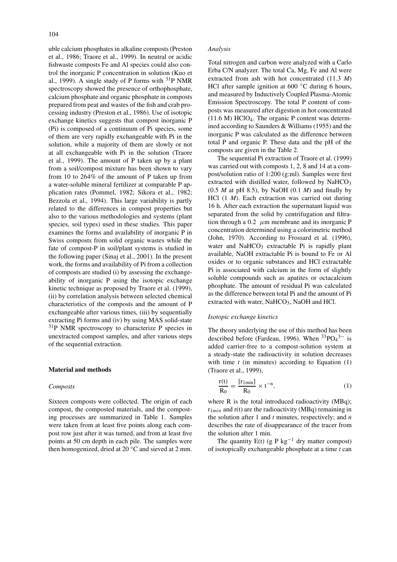uble calcium phosphates in alkaline composts (Preston et al., 1986; Traore et al., 1999). In neutral or acidic fishwaste composts Fe and Al species could also control the inorganic P concentration in solution (Kuo et al., 1999). A single study of P forms with  $^{31}P$  NMR spectroscopy showed the presence of orthophosphate, calcium phosphate and organic phosphate in composts prepared from peat and wastes of the fish and crab processing industry (Preston et al., 1986). Use of isotopic exchange kinetics suggests that compost inorganic P (Pi) is composed of a continuum of Pi species, some of them are very rapidly exchangeable with Pi in the solution, while a majority of them are slowly or not at all exchangeable with Pi in the solution (Traore et al., 1999). The amount of P taken up by a plant from a soil/compost mixture has been shown to vary from 10 to 264% of the amount of P taken up from a water-soluble mineral fertilizer at comparable P application rates (Pommel, 1982; Sikora et al., 1982; Bezzola et al., 1994). This large variability is partly related to the differences in compost properties but also to the various methodologies and systems (plant species, soil types) used in these studies. This paper examines the forms and availability of inorganic P in Swiss composts from solid organic wastes while the fate of compost-P in soil/plant systems is studied in the following paper (Sinaj et al., 2001). In the present work, the forms and availability of Pi from a collection of composts are studied (i) by assessing the exchangeability of inorganic P using the isotopic exchange kinetic technique as proposed by Traore et al. (1999), (ii) by correlation analysis between selected chemical characteristics of the composts and the amount of P exchangeable after various times, (iii) by sequentially extracting Pi forms and (iv) by using MAS solid-state 31P NMR spectroscopy to characterize P species in unextracted compost samples, and after various steps of the sequential extraction.

#### **Material and methods**

#### *Composts*

Sixteen composts were collected. The origin of each compost, the composted materials, and the composting processes are summarized in Table 1. Samples were taken from at least five points along each compost row just after it was turned, and from at least five points at 50 cm depth in each pile. The samples were then homogenized, dried at 20 ◦C and sieved at 2 mm.

#### *Analysis*

Total nitrogen and carbon were analyzed with a Carlo Erba C/N analyzer. The total Ca, Mg, Fe and Al were extracted from ash with hot concentrated (11.3 *M*) HCl after sample ignition at  $600 \degree$ C during 6 hours, and measured by Inductively Coupled Plasma-Atomic Emission Spectroscopy. The total P content of composts was measured after digestion in hot concentrated (11.6 M) HClO4. The organic P content was determined according to Saunders & Williams (1955) and the inorganic P was calculated as the difference between total P and organic P. These data and the pH of the composts are given in the Table 2.

The sequential Pi extraction of Traore et al. (1999) was carried out with composts 1, 2, 8 and 14 at a compost/solution ratio of 1:200 (g:ml). Samples were first extracted with distilled water, followed by NaHCO<sub>3</sub> (0.5 *M* at pH 8.5), by NaOH (0.1 *M*) and finally by HCl (1 *M*). Each extraction was carried out during 16 h. After each extraction the supernatant liquid was separated from the solid by centrifugation and filtration through a 0.2  $\mu$ m membrane and its inorganic P concentration determined using a colorimetric method (John, 1970). According to Frossard et al. (1996), water and  $NaHCO<sub>3</sub>$  extractable Pi is rapidly plant available, NaOH extractable Pi is bound to Fe or Al oxides or to organic substances and HCl extractable Pi is associated with calcium in the form of slightly soluble compounds such as apatites or octacalcium phosphate. The amount of residual Pi was calculated as the difference between total Pi and the amount of Pi extracted with water, NaHCO<sub>3</sub>, NaOH and HCl.

#### *Isotopic exchange kinetics*

The theory underlying the use of this method has been described before (Fardeau, 1996). When  ${}^{33}PO_4{}^{3-}$  is added carrier-free to a compost-solution system at a steady-state the radioactivity in solution decreases with time  $t$  (in minutes) according to Equation  $(1)$ (Traore et al., 1999),

$$
\frac{r(t)}{R_0} = \frac{[r_{1\text{min}}]}{R_0} \times t^{-n},\tag{1}
$$

where R is the total introduced radioactivity (MBq);  $r_{1min}$  and  $r(t)$  are the radioactivity (MBq) remaining in the solution after 1 and *t* minutes, respectively; and *n* describes the rate of disappearance of the tracer from the solution after 1 min.

The quantity E(t) (g P kg<sup>-1</sup> dry matter compost) of isotopically exchangeable phosphate at a time *t* can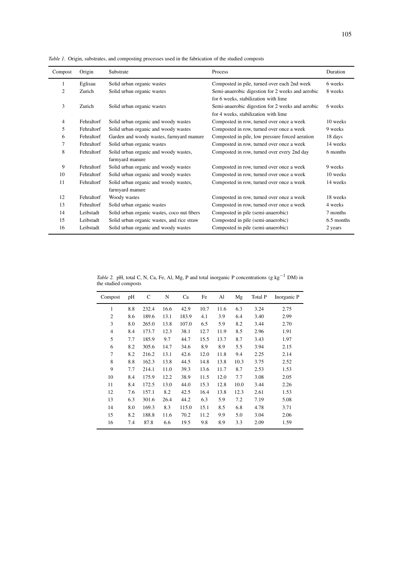| Compost | Origin     | Substrate                                                | Process                                                                                  | Duration   |
|---------|------------|----------------------------------------------------------|------------------------------------------------------------------------------------------|------------|
| 1       | Eglisau    | Solid urban organic wastes                               | Composted in pile, turned over each 2nd week                                             | 6 weeks    |
| 2       | Zurich     | Solid urban organic wastes                               | Semi-anaerobic digestion for 2 weeks and aerobic<br>for 6 weeks, stabilization with lime | 8 weeks    |
| 3       | Zurich     | Solid urban organic wastes                               | Semi-anaerobic digestion for 2 weeks and aerobic<br>for 4 weeks, stabilization with lime | 6 weeks    |
| 4       | Fehraltorf | Solid urban organic and woody wastes                     | Composted in row, turned over once a week                                                | 10 weeks   |
| 5       | Fehraltorf | Solid urban organic and woody wastes                     | Composted in row, turned over once a week                                                | 9 weeks    |
| 6       | Fehraltorf | Garden and woody wastes, farmyard manure                 | Composted in pile, low pressure forced aeration                                          | 18 days    |
| 7       | Fehraltorf | Solid urban organic wastes                               | Composted in row, turned over once a week                                                | 14 weeks   |
| 8       | Fehraltorf | Solid urban organic and woody wastes,<br>farmyard manure | Composted in row, turned over every 2nd day                                              | 6 months   |
| 9       | Fehraltorf | Solid urban organic and woody wastes                     | Composted in row, turned over once a week                                                | 9 weeks    |
| 10      | Fehraltorf | Solid urban organic and woody wastes                     | Composted in row, turned over once a week                                                | 10 weeks   |
| 11      | Fehraltorf | Solid urban organic and woody wastes,<br>farmyard manure | Composted in row, turned over once a week                                                | 14 weeks   |
| 12      | Fehraltorf | Woody wastes                                             | Composted in row, turned over once a week                                                | 18 weeks   |
| 13      | Fehraltorf | Solid urban organic wastes                               | Composted in row, turned over once a week                                                | 4 weeks    |
| 14      | Leibstadt  | Solid urban organic wastes, coco nut fibers              | Composted in pile (semi-anaerobic)                                                       | 7 months   |
| 15      | Leibstadt  | Solid urban organic wastes, and rice straw               | Composted in pile (semi-anaerobic)                                                       | 6.5 months |
| 16      | Leibstadt  | Solid urban organic and woody wastes                     | Composted in pile (semi-anaerobic)                                                       | 2 years    |

*Table 1.* Origin, substrates, and composting processes used in the fabrication of the studied composts

*Table 2.* pH, total C, N, Ca, Fe, Al, Mg, P and total inorganic P concentrations (g kg<sup>-1</sup> DM) in the studied composts

| Compost        | pH  | C     | N    | Ca    | Fe   | Al   | Mg   | Total P | Inorganic P |
|----------------|-----|-------|------|-------|------|------|------|---------|-------------|
| 1              | 8.8 | 232.4 | 16.6 | 42.9  | 10.7 | 11.6 | 6.3  | 3.24    | 2.75        |
| $\overline{2}$ | 8.6 | 189.6 | 13.1 | 183.9 | 4.1  | 3.9  | 6.4  | 3.40    | 2.99        |
| 3              | 8.0 | 265.0 | 13.8 | 107.0 | 6.5  | 5.9  | 8.2  | 3.44    | 2.70        |
| $\overline{4}$ | 8.4 | 173.7 | 12.3 | 38.1  | 12.7 | 11.9 | 8.5  | 2.96    | 1.91        |
| 5              | 7.7 | 185.9 | 9.7  | 44.7  | 15.5 | 13.7 | 8.7  | 3.43    | 1.97        |
| 6              | 8.2 | 305.6 | 14.7 | 34.6  | 8.9  | 8.9  | 5.5  | 3.94    | 2.15        |
| 7              | 8.2 | 216.2 | 13.1 | 42.6  | 12.0 | 11.8 | 9.4  | 2.25    | 2.14        |
| 8              | 8.8 | 162.3 | 13.8 | 44.5  | 14.8 | 13.8 | 10.3 | 3.75    | 2.52        |
| 9              | 7.7 | 214.1 | 11.0 | 39.3  | 13.6 | 11.7 | 8.7  | 2.53    | 1.53        |
| 10             | 8.4 | 175.9 | 12.2 | 38.9  | 11.5 | 12.0 | 7.7  | 3.08    | 2.05        |
| 11             | 8.4 | 172.5 | 13.0 | 44.0  | 15.3 | 12.8 | 10.0 | 3.44    | 2.26        |
| 12             | 7.6 | 157.1 | 8.2  | 42.5  | 16.4 | 13.8 | 12.3 | 2.61    | 1.53        |
| 13             | 6.3 | 301.6 | 26.4 | 44.2  | 6.3  | 5.9  | 7.2  | 7.19    | 5.08        |
| 14             | 8.0 | 169.3 | 8.3  | 115.0 | 15.1 | 8.5  | 6.8  | 4.78    | 3.71        |
| 15             | 8.2 | 188.8 | 11.6 | 70.2  | 11.2 | 9.9  | 5.0  | 3.04    | 2.06        |
| 16             | 7.4 | 87.8  | 6.6  | 19.5  | 9.8  | 8.9  | 3.3  | 2.09    | 1.59        |
|                |     |       |      |       |      |      |      |         |             |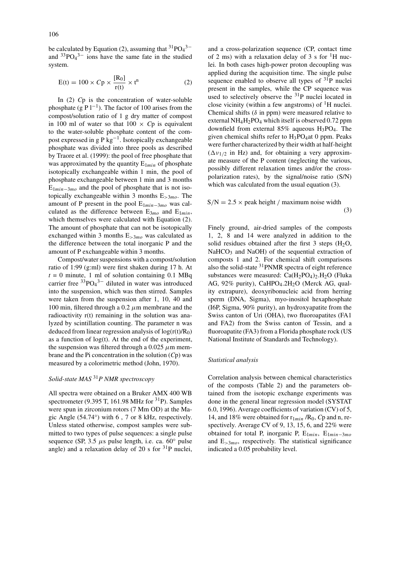be calculated by Equation (2), assuming that  ${}^{31}PO_4{}^{3-}$ and  $33PO<sub>4</sub>$ <sup>3–</sup> ions have the same fate in the studied system.

$$
E(t) = 100 \times Cp \times \frac{[R_0]}{r(t)} \times t^n
$$
 (2)

In (2) *C*p is the concentration of water-soluble phosphate (g P  $l^{-1}$ ). The factor of 100 arises from the compost/solution ratio of 1 g dry matter of compost in 100 ml of water so that  $100 \times Cp$  is equivalent to the water-soluble phosphate content of the compost expressed in g  $P$  kg<sup>-1</sup>. Isotopically exchangeable phosphate was divided into three pools as described by Traore et al. (1999): the pool of free phosphate that was approximated by the quantity  $E_{1min}$  of phosphate isotopically exchangeable within 1 min, the pool of phosphate exchangeable between 1 min and 3 months E1*min*−3*mo* and the pool of phosphate that is not isotopically exchangeable within 3 months E*>*3*mo*. The amount of P present in the pool E1*min*−3*mo* was calculated as the difference between  $E_{3mo}$  and  $E_{1min}$ , which themselves were calculated with Equation (2). The amount of phosphate that can not be isotopically exchanged within 3 months E*>*3*mo* was calculated as the difference between the total inorganic P and the amount of P exchangeable within 3 months.

Compost/water suspensions with a compost/solution ratio of 1:99 (g:ml) were first shaken during 17 h. At  $t = 0$  minute, 1 ml of solution containing 0.1 MBq carrier free  $33PO<sub>4</sub>$ <sup>3-</sup> diluted in water was introduced into the suspension, which was then stirred. Samples were taken from the suspension after 1, 10, 40 and 100 min, filtered through a 0.2  $\mu$ m membrane and the radioactivity r(t) remaining in the solution was analyzed by scintillation counting. The parameter n was deduced from linear regression analysis of  $log(r(t)/R_0)$ as a function of  $log(t)$ . At the end of the experiment, the suspension was filtered through a 0.025  $\mu$ m membrane and the Pi concentration in the solution (*C*p) was measured by a colorimetric method (John, 1970).

## *Solid-state MAS* <sup>31</sup>*P NMR spectroscopy*

All spectra were obtained on a Bruker AMX 400 WB spectrometer (9.395 T, 161.98 MHz for  $31P$ ). Samples were spun in zirconium rotors (7 Mm OD) at the Magic Angle  $(54.74°)$  with 6, 7 or 8 kHz, respectively. Unless stated otherwise, compost samples were submitted to two types of pulse sequences: a single pulse sequence (SP, 3.5  $\mu$ s pulse length, i.e. ca. 60 $\degree$  pulse angle) and a relaxation delay of 20 s for  $31P$  nuclei, and a cross-polarization sequence (CP, contact time of 2 ms) with a relaxation delay of 3 s for  ${}^{1}H$  nuclei. In both cases high-power proton decoupling was applied during the acquisition time. The single pulse sequence enabled to observe all types of  $31P$  nuclei present in the samples, while the CP sequence was used to selectively observe the <sup>31</sup>P nuclei located in close vicinity (within a few angstroms) of  ${}^{1}H$  nuclei. Chemical shifts  $(\delta$  in ppm) were measured relative to external  $NH_4H_2PO_4$  which itself is observed 0.72 ppm downfield from external 85% aqueous H3PO4. The given chemical shifts refer to  $H_3PO_4$ at 0 ppm. Peaks were further characterized by their width at half-height  $(\Delta v_{1/2}$  in Hz) and, for obtaining a very approximate measure of the P content (neglecting the various, possibly different relaxation times and/or the crosspolarization rates), by the signal/noise ratio (S/N) which was calculated from the usual equation  $(3)$ .

$$
S/N = 2.5 \times peak \text{ height} / \text{ maximum noise width}
$$
\n(3)

Finely ground, air-dried samples of the composts 1, 2, 8 and 14 were analyzed in addition to the solid residues obtained after the first  $3$  steps (H<sub>2</sub>O,  $NaHCO<sub>3</sub>$  and NaOH) of the sequential extraction of composts 1 and 2. For chemical shift comparisons also the solid-state  $31$ PNMR spectra of eight reference substances were measured:  $Ca(H_2PO_4)_2.H_2O$  (Fluka AG, 92% purity), CaHPO<sub>4</sub>.2H<sub>2</sub>O (Merck AG, quality extrapure), deoxyribonucleic acid from herring sperm (DNA, Sigma), myo-inositol hexaphosphate (I6P, Sigma, 90% purity), an hydroxyapatite from the Swiss canton of Uri (OHA), two fluoroapatites (FA1 and FA2) from the Swiss canton of Tessin, and a fluoroapatite (FA3) from a Florida phosphate rock (US National Institute of Standards and Technology).

#### *Statistical analysis*

Correlation analysis between chemical characteristics of the composts (Table 2) and the parameters obtained from the isotopic exchange experiments was done in the general linear regression model (SYSTAT 6.0, 1996). Average coefficients of variation (CV) of 5, 14, and 18% were obtained for  $r_{1min}$  /R<sub>0</sub>, *C*p and n, respectively. Average CV of 9, 13, 15, 6, and 22% were obtained for total P, inorganic P, E1*min*, E1*min*−3*mo* and E*>*3*mo*, respectively. The statistical significance indicated a 0.05 probability level.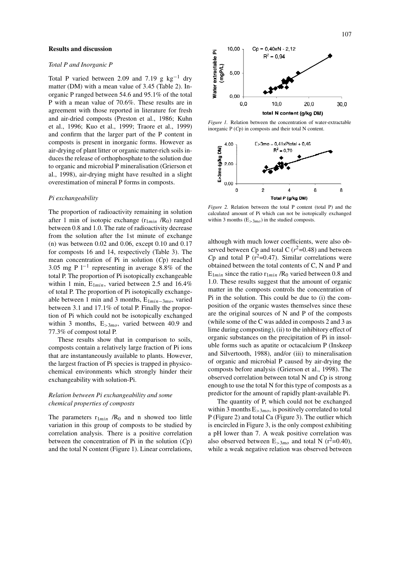#### **Results and discussion**

#### *Total P and Inorganic P*

Total P varied between 2.09 and 7.19 g  $kg^{-1}$  dry matter (DM) with a mean value of 3.45 (Table 2). Inorganic P ranged between 54.6 and 95.1% of the total P with a mean value of 70.6%. These results are in agreement with those reported in literature for fresh and air-dried composts (Preston et al., 1986; Kuhn et al., 1996; Kuo et al., 1999; Traore et al., 1999) and confirm that the larger part of the P content in composts is present in inorganic forms. However as air-drying of plant litter or organic matter-rich soils induces the release of orthophosphate to the solution due to organic and microbial P mineralisation (Grierson et al., 1998), air-drying might have resulted in a slight overestimation of mineral P forms in composts.

#### *Pi exchangeability*

The proportion of radioactivity remaining in solution after 1 min of isotopic exchange  $(r_{1min} / R_0)$  ranged between 0.8 and 1.0. The rate of radioactivity decrease from the solution after the 1st minute of exchange (n) was between  $0.02$  and  $0.06$ , except  $0.10$  and  $0.17$ for composts 16 and 14, respectively (Table 3). The mean concentration of Pi in solution (*C*p) reached 3.05 mg P l−<sup>1</sup> representing in average 8.8% of the total P. The proportion of Pi isotopically exchangeable within 1 min,  $E_{1min}$ , varied between 2.5 and 16.4% of total P. The proportion of Pi isotopically exchangeable between 1 min and 3 months, E1*min*−3*mo*, varied between 3.1 and 17.1% of total P. Finally the proportion of Pi which could not be isotopically exchanged within 3 months, E*>*3*mo*, varied between 40.9 and 77.3% of compost total P.

These results show that in comparison to soils, composts contain a relatively large fraction of Pi ions that are instantaneously available to plants. However, the largest fraction of Pi species is trapped in physicochemical environments which strongly hinder their exchangeability with solution-Pi.

#### *Relation between Pi exchangeability and some chemical properties of composts*

The parameters  $r_{1min}$  /R<sub>0</sub> and n showed too little variation in this group of composts to be studied by correlation analysis. There is a positive correlation between the concentration of Pi in the solution (*C*p) and the total N content (Figure 1). Linear correlations,



*Figure 1.* Relation between the concentration of water-extractable inorganic P (*C*p) in composts and their total N content.



*Figure 2.* Relation between the total P content (total P) and the calculated amount of Pi which can not be isotopically exchanged within 3 months  $(E_{>3mo})$  in the studied composts.

although with much lower coefficients, were also observed between *C*p and total C  $(r^2=0.48)$  and between  $Cp$  and total P ( $r^2$ =0.47). Similar correlations were obtained between the total contents of C, N and P and  $E_{1min}$  since the ratio  $r_{1min}$  /R<sub>0</sub> varied between 0.8 and 1.0. These results suggest that the amount of organic matter in the composts controls the concentration of Pi in the solution. This could be due to (i) the composition of the organic wastes themselves since these are the original sources of N and P of the composts (while some of the C was added in composts 2 and 3 as lime during composting), (ii) to the inhibitory effect of organic substances on the precipitation of Pi in insoluble forms such as apatite or octacalcium P (Inskeep and Silvertooth, 1988), and/or (iii) to mineralisation of organic and microbial P caused by air-drying the composts before analysis (Grierson et al., 1998). The observed correlation between total N and *C*p is strong enough to use the total N for this type of composts as a predictor for the amount of rapidly plant-available Pi.

The quantity of P, which could not be exchanged within 3 months E*>*3*mo*, is positively correlated to total P (Figure 2) and total Ca (Figure 3). The outlier which is encircled in Figure 3, is the only compost exhibiting a pH lower than 7. A weak positive correlation was also observed between  $E_{>3mo}$  and total N ( $r^2$ =0.40), while a weak negative relation was observed between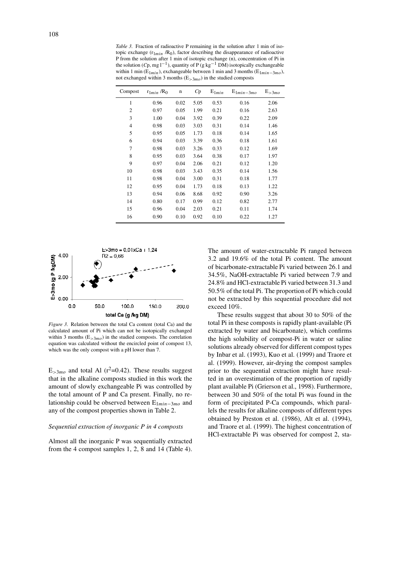*Table 3.* Fraction of radioactive P remaining in the solution after 1 min of isotopic exchange  $(r_{1min} / R_0)$ , factor describing the disappearance of radioactive P from the solution after 1 min of isotopic exchange (n), concentration of Pi in the solution (*C*p, mg l<sup>−1</sup>), quantity of P (g kg<sup>-1</sup> DM) isotopically exchangeable within 1 min (E1*min*), exchangeable between 1 min and 3 months (E1*min*−3*mo*), not exchanged within 3 months (E*>*3*mo*) in the studied composts

| Compost        | $r_{1min}$ /R <sub>0</sub> | $\mathbf n$ | Cp   | $E_{1min}$ | $E_{1min-3mo}$ | $E_{>3mo}$ |
|----------------|----------------------------|-------------|------|------------|----------------|------------|
| $\mathbf{1}$   | 0.96                       | 0.02        | 5.05 | 0.53       | 0.16           | 2.06       |
| 2              | 0.97                       | 0.05        | 1.99 | 0.21       | 0.16           | 2.63       |
| 3              | 1.00                       | 0.04        | 3.92 | 0.39       | 0.22           | 2.09       |
| $\overline{4}$ | 0.98                       | 0.03        | 3.03 | 0.31       | 0.14           | 1.46       |
| 5              | 0.95                       | 0.05        | 1.73 | 0.18       | 0.14           | 1.65       |
| 6              | 0.94                       | 0.03        | 3.39 | 0.36       | 0.18           | 1.61       |
| 7              | 0.98                       | 0.03        | 3.26 | 0.33       | 0.12           | 1.69       |
| 8              | 0.95                       | 0.03        | 3.64 | 0.38       | 0.17           | 1.97       |
| 9              | 0.97                       | 0.04        | 2.06 | 0.21       | 0.12           | 1.20       |
| 10             | 0.98                       | 0.03        | 3.43 | 0.35       | 0.14           | 1.56       |
| 11             | 0.98                       | 0.04        | 3.00 | 0.31       | 0.18           | 1.77       |
| 12             | 0.95                       | 0.04        | 1.73 | 0.18       | 0.13           | 1.22       |
| 13             | 0.94                       | 0.06        | 8.68 | 0.92       | 0.90           | 3.26       |
| 14             | 0.80                       | 0.17        | 0.99 | 0.12       | 0.82           | 2.77       |
| 15             | 0.96                       | 0.04        | 2.03 | 0.21       | 0.11           | 1.74       |
| 16             | 0.90                       | 0.10        | 0.92 | 0.10       | 0.22           | 1.27       |



*Figure 3.* Relation between the total Ca content (total Ca) and the calculated amount of Pi which can not be isotopically exchanged within 3 months  $(E_{>3m\rho})$  in the studied composts. The correlation equation was calculated without the encircled point of compost 13, which was the only compost with a pH lower than 7.

 $E_{>3mo}$  and total Al ( $r^2$ =0.42). These results suggest that in the alkaline composts studied in this work the amount of slowly exchangeable Pi was controlled by the total amount of P and Ca present. Finally, no relationship could be observed between E1*min*−3*mo* and any of the compost properties shown in Table 2.

#### *Sequential extraction of inorganic P in 4 composts*

Almost all the inorganic P was sequentially extracted from the 4 compost samples 1, 2, 8 and 14 (Table 4).

The amount of water-extractable Pi ranged between 3.2 and 19.6% of the total Pi content. The amount of bicarbonate-extractable Pi varied between 26.1 and 34.5%, NaOH-extractable Pi varied between 7.9 and 24.8% and HCl-extractable Pi varied between 31.3 and 50.5% of the total Pi. The proportion of Pi which could not be extracted by this sequential procedure did not exceed 10%.

These results suggest that about 30 to 50% of the total Pi in these composts is rapidly plant-available (Pi extracted by water and bicarbonate), which confirms the high solubility of compost-Pi in water or saline solutions already observed for different compost types by Inbar et al. (1993), Kuo et al. (1999) and Traore et al. (1999). However, air-drying the compost samples prior to the sequential extraction might have resulted in an overestimation of the proportion of rapidly plant available Pi (Grierson et al., 1998). Furthermore, between 30 and 50% of the total Pi was found in the form of precipitated P-Ca compounds, which parallels the results for alkaline composts of different types obtained by Preston et al. (1986), Alt et al. (1994), and Traore et al. (1999). The highest concentration of HCl-extractable Pi was observed for compost 2, sta-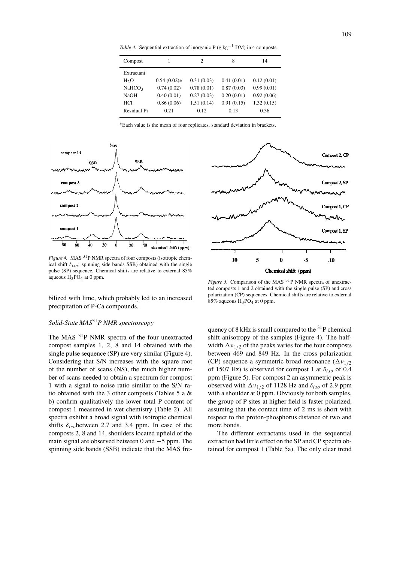*Table 4.* Sequential extraction of inorganic P (g kg<sup>-1</sup> DM) in 4 composts

| Compost          |               | 2          | 8          | 14         |
|------------------|---------------|------------|------------|------------|
| Extractant       |               |            |            |            |
| H <sub>2</sub> O | $0.54(0.02)*$ | 0.31(0.03) | 0.41(0.01) | 0.12(0.01) |
| NaHCO3           | 0.74(0.02)    | 0.78(0.01) | 0.87(0.03) | 0.99(0.01) |
| <b>NaOH</b>      | 0.40(0.01)    | 0.27(0.03) | 0.20(0.01) | 0.92(0.06) |
| HC1              | 0.86(0.06)    | 1.51(0.14) | 0.91(0.15) | 1.32(0.15) |
| Residual Pi      | 0.21          | 0.12       | 0.13       | 0.36       |
|                  |               |            |            |            |

∗Each value is the mean of four replicates, standard deviation in brackets.



*Figure 4.* MAS <sup>31</sup>P NMR spectra of four composts (isotropic chemical shift  $\delta_{iso}$ ; spinning side bands SSB) obtained with the single pulse (SP) sequence. Chemical shifts are relative to external 85% aqueous  $H_3PO_4$  at 0 ppm.

bilized with lime, which probably led to an increased precipitation of P-Ca compounds.

### *Solid-State MAS*31*P NMR spectroscopy*

The MAS <sup>31</sup>P NMR spectra of the four unextracted compost samples 1, 2, 8 and 14 obtained with the single pulse sequence (SP) are very similar (Figure 4). Considering that S/N increases with the square root of the number of scans (NS), the much higher number of scans needed to obtain a spectrum for compost 1 with a signal to noise ratio similar to the S/N ratio obtained with the 3 other composts (Tables 5 a & b) confirm qualitatively the lower total P content of compost 1 measured in wet chemistry (Table 2). All spectra exhibit a broad signal with isotropic chemical shifts  $\delta_{iso}$ between 2.7 and 3.4 ppm. In case of the composts 2, 8 and 14, shoulders located upfield of the main signal are observed between 0 and −5 ppm. The spinning side bands (SSB) indicate that the MAS fre-



*Figure 5.* Comparison of the MAS <sup>31</sup>P NMR spectra of unextracted composts 1 and 2 obtained with the single pulse (SP) and cross polarization (CP) sequences. Chemical shifts are relative to external 85% aqueous H3PO4 at 0 ppm.

quency of 8 kHz is small compared to the  $3^{1}P$  chemical shift anisotropy of the samples (Figure 4). The halfwidth  $\Delta v_{1/2}$  of the peaks varies for the four composts between 469 and 849 Hz. In the cross polarization (CP) sequence a symmetric broad resonance (*ν*1*/*<sup>2</sup> of 1507 Hz) is observed for compost 1 at  $\delta_{iso}$  of 0.4 ppm (Figure 5). For compost 2 an asymmetric peak is observed with  $\Delta v_{1/2}$  of 1128 Hz and  $\delta_{iso}$  of 2.9 ppm with a shoulder at 0 ppm. Obviously for both samples, the group of P sites at higher field is faster polarized, assuming that the contact time of 2 ms is short with respect to the proton-phosphorus distance of two and more bonds.

The different extractants used in the sequential extraction had little effect on the SP and CP spectra obtained for compost 1 (Table 5a). The only clear trend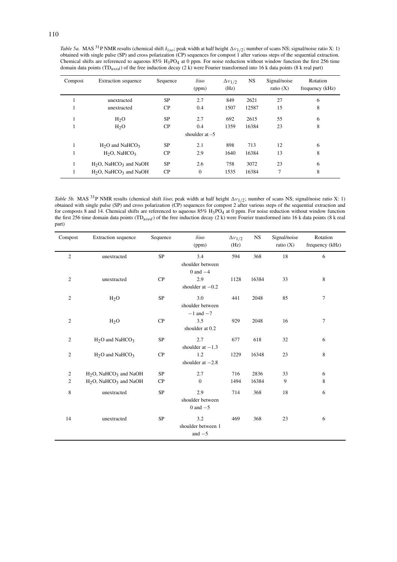*Table 5a.* MAS 31P NMR results (chemical shift *δiso*; peak width at half height *ν*1*/*2; number of scans NS; signal/noise ratio X: 1) obtained with single pulse (SP) and cross polarization (CP) sequences for compost 1 after various steps of the sequential extraction. Chemical shifts are referenced to aqueous 85% H3PO4 at 0 ppm. For noise reduction without window function the first 256 time domain data points (TD*used* ) of the free induction decay (2 k) were Fourier transformed into 16 k data points (8 k real part)

| Compost | Extraction sequence                           | Sequence  | $\delta$ iso<br>(ppm) | $\Delta v_{1/2}$<br>(Hz) | <b>NS</b> | Signal/noise<br>ratio $(X)$ | Rotation<br>frequency (kHz) |
|---------|-----------------------------------------------|-----------|-----------------------|--------------------------|-----------|-----------------------------|-----------------------------|
|         | unextracted                                   | <b>SP</b> | 2.7                   | 849                      | 2621      | 27                          | 6                           |
|         | unextracted                                   | CP        | 0.4                   | 1507                     | 12587     | 15                          | 8                           |
|         | H <sub>2</sub> O                              | <b>SP</b> | 2.7                   | 692                      | 2615      | 55                          | 6                           |
|         | H <sub>2</sub> O                              | CP        | 0.4                   | 1359                     | 16384     | 23                          | 8                           |
|         |                                               |           | shoulder at $-5$      |                          |           |                             |                             |
|         | $H2O$ and NaHCO <sub>3</sub>                  | <b>SP</b> | 2.1                   | 898                      | 713       | 12                          | 6                           |
|         | $H_2O$ , NaHCO <sub>3</sub>                   | CP        | 2.9                   | 1640                     | 16384     | 13                          | 8                           |
|         | $H_2O$ , NaHCO <sub>3</sub> and NaOH          | <b>SP</b> | 2.6                   | 758                      | 3072      | 23                          | 6                           |
|         | H <sub>2</sub> O, NaHCO <sub>3</sub> and NaOH | CP        | $\overline{0}$        | 1535                     | 16384     | 7                           | 8                           |

*Table 5b.* MAS <sup>31</sup>P NMR results (chemical shift *δ*iso; peak width at half height Δ $\nu_{1/2}$ ; number of scans NS; signal/noise ratio X: 1) obtained with single pulse (SP) and cross polarization (CP) sequences for compost 2 after various steps of the sequential extraction and for composts 8 and 14. Chemical shifts are referenced to aqueous 85% H<sub>3</sub>PO<sub>4</sub> at 0 ppm. For noise reduction without window function the first 256 time domain data points (TD*used* ) of the free induction decay (2 k) were Fourier transformed into 16 k data points (8 k real part)

| Compost        | Extraction sequence                           | Sequence  | $\delta$ iso<br>(ppm)                     | $\Delta v_{1/2}$<br>(Hz) | <b>NS</b> | Signal/noise<br>ratio $(X)$ | Rotation<br>frequency (kHz) |
|----------------|-----------------------------------------------|-----------|-------------------------------------------|--------------------------|-----------|-----------------------------|-----------------------------|
| 2              | unextracted                                   | <b>SP</b> | 3.4<br>shoulder between                   | 594                      | 368       | 18                          | 6                           |
| $\overline{2}$ | unextracted                                   | CP        | $0$ and $-4$<br>2.9<br>shoulder at $-0.2$ | 1128                     | 16384     | 33                          | $\,8\,$                     |
| $\overline{2}$ | H <sub>2</sub> O                              | SP        | 3.0<br>shoulder between                   | 441                      | 2048      | 85                          | $\tau$                      |
| $\overline{2}$ | H <sub>2</sub> O                              | CP        | $-1$ and $-7$<br>3.5<br>shoulder at 0.2   | 929                      | 2048      | 16                          | $\tau$                      |
| $\overline{2}$ | H <sub>2</sub> O and NaHCO <sub>3</sub>       | <b>SP</b> | 2.7<br>shoulder at $-1.3$                 | 677                      | 618       | 32                          | 6                           |
| $\overline{2}$ | $H2O$ and NaHCO <sub>3</sub>                  | CP        | 1.2<br>shoulder at $-2.8$                 | 1229                     | 16348     | 23                          | 8                           |
| $\sqrt{2}$     | $H2O$ , NaHCO <sub>3</sub> and NaOH           | <b>SP</b> | 2.7                                       | 716                      | 2836      | 33                          | 6                           |
| $\mathfrak{2}$ | H <sub>2</sub> O, NaHCO <sub>3</sub> and NaOH | CP        | $\theta$                                  | 1494                     | 16384     | 9                           | 8                           |
| $\,8\,$        | unextracted                                   | <b>SP</b> | 2.9<br>shoulder between<br>$0$ and $-5$   | 714                      | 368       | 18                          | 6                           |
| 14             | unextracted                                   | <b>SP</b> | 3.2<br>shoulder between 1<br>and $-5$     | 469                      | 368       | 23                          | 6                           |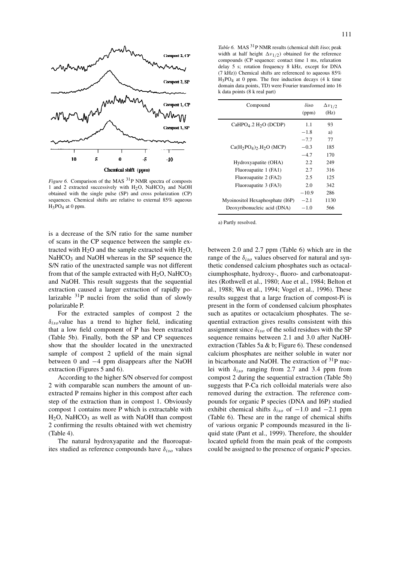

*Figure 6.* Comparison of the MAS <sup>31</sup>P NMR spectra of composts 1 and 2 extracted successively with  $H_2O$ , NaHCO<sub>3</sub> and NaOH obtained with the single pulse (SP) and cross polarization (CP) sequences. Chemical shifts are relative to external 85% aqueous H3PO4 at 0 ppm.

is a decrease of the S/N ratio for the same number of scans in the CP sequence between the sample extracted with  $H_2O$  and the sample extracted with  $H_2O$ , NaHCO<sub>3</sub> and NaOH whereas in the SP sequence the S/N ratio of the unextracted sample was not different from that of the sample extracted with  $H_2O$ , NaHCO<sub>3</sub> and NaOH. This result suggests that the sequential extraction caused a larger extraction of rapidly polarizable  $31P$  nuclei from the solid than of slowly polarizable P.

For the extracted samples of compost 2 the *δiso*value has a trend to higher field, indicating that a low field component of P has been extracted (Table 5b). Finally, both the SP and CP sequences show that the shoulder located in the unextracted sample of compost 2 upfield of the main signal between 0 and −4 ppm disappears after the NaOH extraction (Figures 5 and 6).

According to the higher S/N observed for compost 2 with comparable scan numbers the amount of unextracted P remains higher in this compost after each step of the extraction than in compost 1. Obviously compost 1 contains more P which is extractable with  $H<sub>2</sub>O$ , NaHCO<sub>3</sub> as well as with NaOH than compost 2 confirming the results obtained with wet chemistry (Table 4).

The natural hydroxyapatite and the fluoroapatites studied as reference compounds have *δiso* values

*Table 6.* MAS 31P NMR results (chemical shift *δ*iso; peak width at half height  $\Delta v_{1/2}$ ) obtained for the reference compounds (CP sequence: contact time 1 ms, relaxation delay 5 s; rotation frequency 8 kHz, except for DNA (7 kHz)) Chemical shifts are referenced to aqueous 85%  $H_3PO_4$  at 0 ppm. The free induction decays (4 k time domain data points, TD) were Fourier transformed into 16 k data points (8 k real part)

| Compound                               | $\delta$ iso<br>(ppm) | $\Delta v_{1/2}$<br>(Hz) |
|----------------------------------------|-----------------------|--------------------------|
| $CaHPO4$ .2 H <sub>2</sub> O (DCDP)    | 1.1                   | 93                       |
|                                        | $-1.8$                | a)                       |
|                                        | $-7.7$                | 77                       |
| $Ca(H_2PO_4)$ . H <sub>2</sub> O (MCP) | $-0.3$                | 185                      |
|                                        | $-4.7$                | 170                      |
| Hydroxyapatite (OHA)                   | 2.2                   | 249                      |
| Fluoroapatite 1 (FA1)                  | 2.7                   | 316                      |
| Fluoroapatite 2 (FA2)                  | 2.5                   | 125                      |
| Fluoroapatite 3 (FA3)                  | 2.0                   | 342                      |
|                                        | $-10.9$               | 286                      |
| Myoinositol Hexaphosphate (I6P)        | $-2.1$                | 1130                     |
| Deoxyribonucleic acid (DNA)            | $-1.0$                | 566                      |
|                                        |                       |                          |

a) Partly resolved.

between 2.0 and 2.7 ppm (Table 6) which are in the range of the *δiso* values observed for natural and synthetic condensed calcium phosphates such as octacalciumphosphate, hydroxy-, fluoro- and carbonatoapatites (Rothwell et al., 1980; Aue et al., 1984; Belton et al., 1988; Wu et al., 1994; Vogel et al., 1996). These results suggest that a large fraction of compost-Pi is present in the form of condensed calcium phosphates such as apatites or octacalcium phosphates. The sequential extraction gives results consistent with this assignment since  $\delta_{iso}$  of the solid residues with the SP sequence remains between 2.1 and 3.0 after NaOHextraction (Tables 5a & b; Figure 6). These condensed calcium phosphates are neither soluble in water nor in bicarbonate and NaOH. The extraction of  $31P$  nuclei with  $\delta_{iso}$  ranging from 2.7 and 3.4 ppm from compost 2 during the sequential extraction (Table 5b) suggests that P-Ca rich colloidal materials were also removed during the extraction. The reference compounds for organic P species (DNA and I6P) studied exhibit chemical shifts  $\delta_{iso}$  of  $-1.0$  and  $-2.1$  ppm (Table 6). These are in the range of chemical shifts of various organic P compounds measured in the liquid state (Pant et al., 1999). Therefore, the shoulder located upfield from the main peak of the composts could be assigned to the presence of organic P species.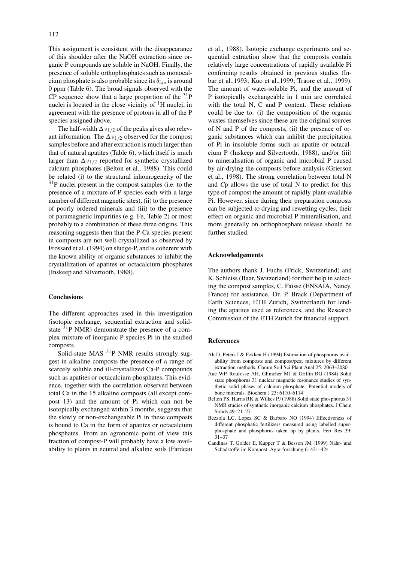This assignment is consistent with the disappearance of this shoulder after the NaOH extraction since organic P compounds are soluble in NaOH. Finally, the presence of soluble orthophosphates such as monocalcium phosphate is also probable since its *δiso* is around 0 ppm (Table 6). The broad signals observed with the CP sequence show that a large proportion of the  $^{31}P$ nuclei is located in the close vicinity of  ${}^{1}H$  nuclei, in agreement with the presence of protons in all of the P species assigned above.

The half-width  $\Delta v_{1/2}$  of the peaks gives also relevant information. The  $\Delta v_{1/2}$  observed for the compost samples before and after extraction is much larger than that of natural apatites (Table 6), which itself is much larger than  $\Delta v_{1/2}$  reported for synthetic crystallized calcium phosphates (Belton et al., 1988). This could be related (i) to the structural inhomogeneity of the 31P nuclei present in the compost samples (i.e. to the presence of a mixture of P species each with a large number of different magnetic sites), (ii) to the presence of poorly ordered minerals and (iii) to the presence of paramagnetic impurities (e.g. Fe, Table 2) or most probably to a combination of these three origins. This reasoning suggests then that the P-Ca species present in composts are not well crystallized as observed by Frossard et al. (1994) on sludge-P, and is coherent with the known ability of organic substances to inhibit the crystallization of apatites or octacalcium phosphates (Inskeep and Silvertooth, 1988).

#### **Conclusions**

The different approaches used in this investigation (isotopic exchange, sequential extraction and solidstate  $31P$  NMR) demonstrate the presence of a complex mixture of inorganic P species Pi in the studied composts.

Solid-state MAS <sup>31</sup>P NMR results strongly suggest in alkaline composts the presence of a range of scarcely soluble and ill-crystallized Ca-P compounds such as apatites or octacalcium phosphates. This evidence, together with the correlation observed between total Ca in the 15 alkaline composts (all except compost 13) and the amount of Pi which can not be isotopically exchanged within 3 months, suggests that the slowly or non-exchangeable Pi in these composts is bound to Ca in the form of apatites or octacalcium phosphates. From an agronomic point of view this fraction of compost-P will probably have a low availability to plants in neutral and alkaline soils (Fardeau

et al., 1988). Isotopic exchange experiments and sequential extraction show that the composts contain relatively large concentrations of rapidly available Pi confirming results obtained in previous studies (Inbar et al.,1993; Kuo et al.,1999; Traore et al., 1999). The amount of water-soluble Pi, and the amount of P isotopically exchangeable in 1 min are correlated with the total N, C and P content. These relations could be due to: (i) the composition of the organic wastes themselves since these are the original sources of N and P of the composts, (ii) the presence of organic substances which can inhibit the precipitation of Pi in insoluble forms such as apatite or octacalcium P (Inskeep and Silvertooth, 1988), and/or (iii) to mineralisation of organic and microbial P caused by air-drying the composts before analysis (Grierson et al., 1998). The strong correlation between total N and *C*p allows the use of total N to predict for this type of compost the amount of rapidly plant-available Pi. However, since during their preparation composts can be subjected to drying and rewetting cycles, their effect on organic and microbial P mineralisation, and more generally on orthophosphate release should be further studied.

#### **Acknowledgements**

The authors thank J. Fuchs (Frick, Switzerland) and K. Schleiss (Baar, Switzerland) for their help in selecting the compost samples, C. Faisse (ENSAIA, Nancy, France) for assistance, Dr. P. Brack (Department of Earth Sciences, ETH Zurich, Switzerland) for lending the apatites used as references, and the Research Commission of the ETH Zurich for financial support.

#### **References**

- Alt D, Peters I & Fokken H (1994) Estimation of phosphorus availability from composts and compost/peat mixtures by different extraction methods. Comm Soil Sci Plant Anal 25: 2063–2080
- Aue WP, Roufosse AH, Glimcher MJ & Griffin RG (1984) Solid state phosphorus 31 nuclear magnetic resonance studies of synthetic solid phases of calcium phosphate: Potential models of bone minerals. Biochem J 23: 6110–6114
- Belton PS, Harris RK & Wilkes PJ (1988) Solid state phosphorus 31 NMR studies of synthetic inorganic calcium phosphates. J Chem Solids 49: 21–27
- Bezzola LC, Lopez SC & Barbaro NO (1994) Effectiveness of different phosphatic fertilizers measured using labelled superphosphate and phosphorus taken up by plants. Fert Res 39: 31–37
- Candinas T, Golder E, Kupper T & Besson JM (1999) Nähr- und Schadstoffe im Kompost. Agrarforschung 6: 421–424